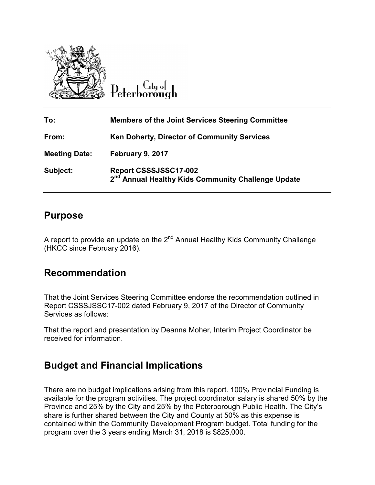

 $C$ ity of Peterborough

| To:                  | <b>Members of the Joint Services Steering Committee</b>                                 |
|----------------------|-----------------------------------------------------------------------------------------|
| From:                | <b>Ken Doherty, Director of Community Services</b>                                      |
| <b>Meeting Date:</b> | February 9, 2017                                                                        |
| Subject:             | Report CSSSJSSC17-002<br>2 <sup>nd</sup> Annual Healthy Kids Community Challenge Update |

## **Purpose**

A report to provide an update on the 2<sup>nd</sup> Annual Healthy Kids Community Challenge (HKCC since February 2016). 2016).

## **Recommendation**

That the Joint Services Steering Committee endorse the recommendation outlined in Report CSSSJSSC17-002 dated February 9, 2017 of the Director of Community Services as follows: Report CSSSJSSC17-002 dated February 9, 2017 of the Director of Community<br>Services as follows:<br>That the report and presentation by Deanna Moher, Interim Project Coordinator be

received for information.

## **Budget and Financial Implications Budget and Financial Implications**

There are no budget implications arising from this report. 100% Provincial Funding is available for the program activities. The project coordinator salary is shared 50% by the available for the program activities. The project coordinator salary is shared 50% by th<br>Province and 25% by the City and 25% by the Peterborough Public Health. The City's share is further shared between the City and County at 50% as this expense is contained within the Community Development Program budget. Total funding for the program over the 3 years ending March 31, 2018 is \$825,000.